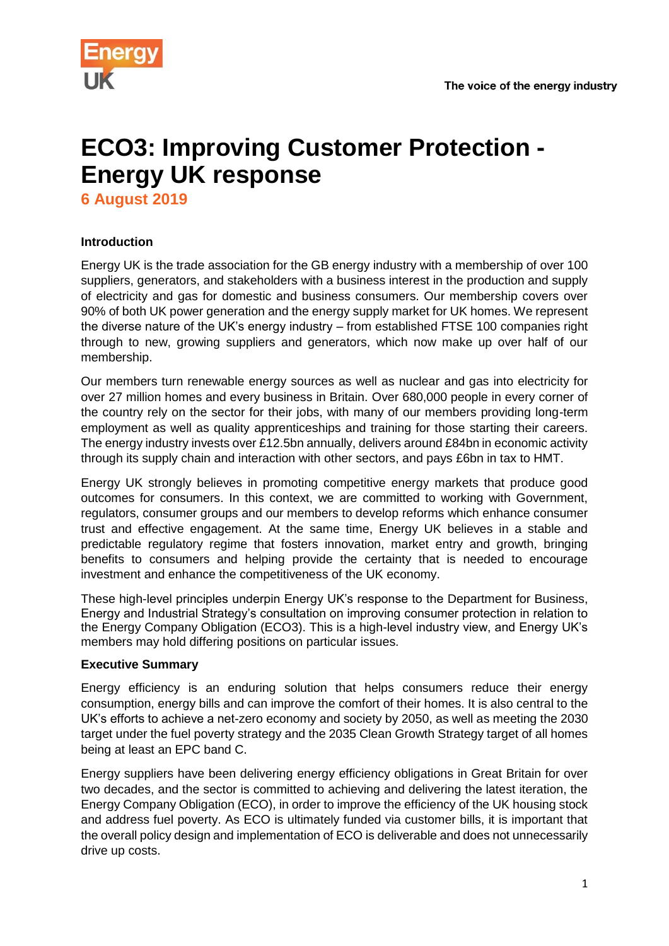

# **ECO3: Improving Customer Protection - Energy UK response**

**6 August 2019**

# **Introduction**

Energy UK is the trade association for the GB energy industry with a membership of over 100 suppliers, generators, and stakeholders with a business interest in the production and supply of electricity and gas for domestic and business consumers. Our membership covers over 90% of both UK power generation and the energy supply market for UK homes. We represent the diverse nature of the UK's energy industry – from established FTSE 100 companies right through to new, growing suppliers and generators, which now make up over half of our membership.

Our members turn renewable energy sources as well as nuclear and gas into electricity for over 27 million homes and every business in Britain. Over 680,000 people in every corner of the country rely on the sector for their jobs, with many of our members providing long-term employment as well as quality apprenticeships and training for those starting their careers. The energy industry invests over £12.5bn annually, delivers around £84bn in economic activity through its supply chain and interaction with other sectors, and pays £6bn in tax to HMT.

Energy UK strongly believes in promoting competitive energy markets that produce good outcomes for consumers. In this context, we are committed to working with Government, regulators, consumer groups and our members to develop reforms which enhance consumer trust and effective engagement. At the same time, Energy UK believes in a stable and predictable regulatory regime that fosters innovation, market entry and growth, bringing benefits to consumers and helping provide the certainty that is needed to encourage investment and enhance the competitiveness of the UK economy.

These high-level principles underpin Energy UK's response to the Department for Business, Energy and Industrial Strategy's consultation on improving consumer protection in relation to the Energy Company Obligation (ECO3). This is a high-level industry view, and Energy UK's members may hold differing positions on particular issues.

# **Executive Summary**

Energy efficiency is an enduring solution that helps consumers reduce their energy consumption, energy bills and can improve the comfort of their homes. It is also central to the UK's efforts to achieve a net-zero economy and society by 2050, as well as meeting the 2030 target under the fuel poverty strategy and the 2035 Clean Growth Strategy target of all homes being at least an EPC band C.

Energy suppliers have been delivering energy efficiency obligations in Great Britain for over two decades, and the sector is committed to achieving and delivering the latest iteration, the Energy Company Obligation (ECO), in order to improve the efficiency of the UK housing stock and address fuel poverty. As ECO is ultimately funded via customer bills, it is important that the overall policy design and implementation of ECO is deliverable and does not unnecessarily drive up costs.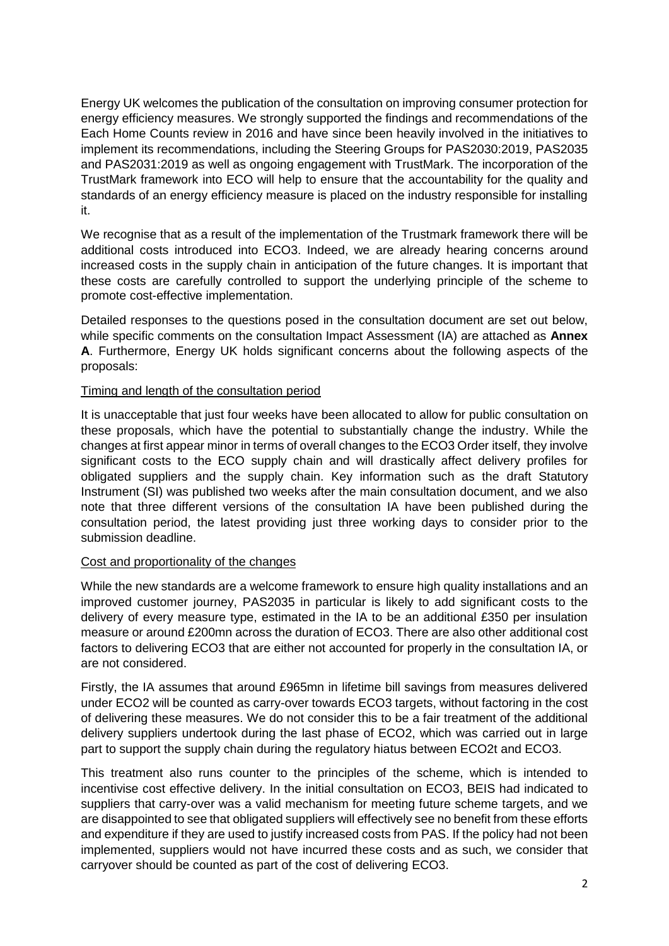Energy UK welcomes the publication of the consultation on improving consumer protection for energy efficiency measures. We strongly supported the findings and recommendations of the Each Home Counts review in 2016 and have since been heavily involved in the initiatives to implement its recommendations, including the Steering Groups for PAS2030:2019, PAS2035 and PAS2031:2019 as well as ongoing engagement with TrustMark. The incorporation of the TrustMark framework into ECO will help to ensure that the accountability for the quality and standards of an energy efficiency measure is placed on the industry responsible for installing it.

We recognise that as a result of the implementation of the Trustmark framework there will be additional costs introduced into ECO3. Indeed, we are already hearing concerns around increased costs in the supply chain in anticipation of the future changes. It is important that these costs are carefully controlled to support the underlying principle of the scheme to promote cost-effective implementation.

Detailed responses to the questions posed in the consultation document are set out below, while specific comments on the consultation Impact Assessment (IA) are attached as **Annex A**. Furthermore, Energy UK holds significant concerns about the following aspects of the proposals:

# Timing and length of the consultation period

It is unacceptable that just four weeks have been allocated to allow for public consultation on these proposals, which have the potential to substantially change the industry. While the changes at first appear minor in terms of overall changes to the ECO3 Order itself, they involve significant costs to the ECO supply chain and will drastically affect delivery profiles for obligated suppliers and the supply chain. Key information such as the draft Statutory Instrument (SI) was published two weeks after the main consultation document, and we also note that three different versions of the consultation IA have been published during the consultation period, the latest providing just three working days to consider prior to the submission deadline.

# Cost and proportionality of the changes

While the new standards are a welcome framework to ensure high quality installations and an improved customer journey, PAS2035 in particular is likely to add significant costs to the delivery of every measure type, estimated in the IA to be an additional £350 per insulation measure or around £200mn across the duration of ECO3. There are also other additional cost factors to delivering ECO3 that are either not accounted for properly in the consultation IA, or are not considered.

Firstly, the IA assumes that around £965mn in lifetime bill savings from measures delivered under ECO2 will be counted as carry-over towards ECO3 targets, without factoring in the cost of delivering these measures. We do not consider this to be a fair treatment of the additional delivery suppliers undertook during the last phase of ECO2, which was carried out in large part to support the supply chain during the regulatory hiatus between ECO2t and ECO3.

This treatment also runs counter to the principles of the scheme, which is intended to incentivise cost effective delivery. In the initial consultation on ECO3, BEIS had indicated to suppliers that carry-over was a valid mechanism for meeting future scheme targets, and we are disappointed to see that obligated suppliers will effectively see no benefit from these efforts and expenditure if they are used to justify increased costs from PAS. If the policy had not been implemented, suppliers would not have incurred these costs and as such, we consider that carryover should be counted as part of the cost of delivering ECO3.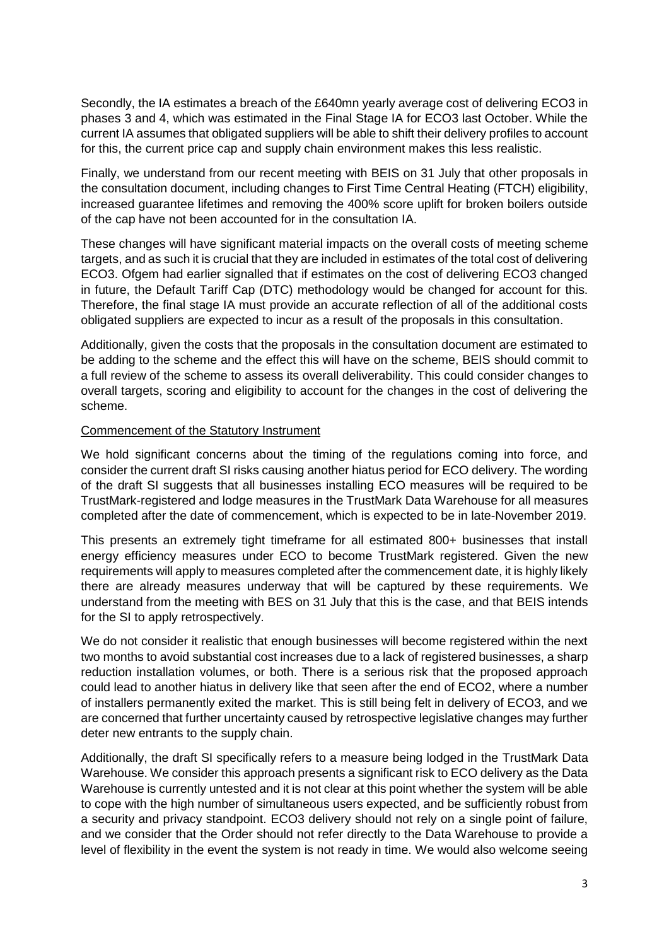Secondly, the IA estimates a breach of the £640mn yearly average cost of delivering ECO3 in phases 3 and 4, which was estimated in the Final Stage IA for ECO3 last October. While the current IA assumes that obligated suppliers will be able to shift their delivery profiles to account for this, the current price cap and supply chain environment makes this less realistic.

Finally, we understand from our recent meeting with BEIS on 31 July that other proposals in the consultation document, including changes to First Time Central Heating (FTCH) eligibility, increased guarantee lifetimes and removing the 400% score uplift for broken boilers outside of the cap have not been accounted for in the consultation IA.

These changes will have significant material impacts on the overall costs of meeting scheme targets, and as such it is crucial that they are included in estimates of the total cost of delivering ECO3. Ofgem had earlier signalled that if estimates on the cost of delivering ECO3 changed in future, the Default Tariff Cap (DTC) methodology would be changed for account for this. Therefore, the final stage IA must provide an accurate reflection of all of the additional costs obligated suppliers are expected to incur as a result of the proposals in this consultation.

Additionally, given the costs that the proposals in the consultation document are estimated to be adding to the scheme and the effect this will have on the scheme, BEIS should commit to a full review of the scheme to assess its overall deliverability. This could consider changes to overall targets, scoring and eligibility to account for the changes in the cost of delivering the scheme.

# Commencement of the Statutory Instrument

We hold significant concerns about the timing of the regulations coming into force, and consider the current draft SI risks causing another hiatus period for ECO delivery. The wording of the draft SI suggests that all businesses installing ECO measures will be required to be TrustMark-registered and lodge measures in the TrustMark Data Warehouse for all measures completed after the date of commencement, which is expected to be in late-November 2019.

This presents an extremely tight timeframe for all estimated 800+ businesses that install energy efficiency measures under ECO to become TrustMark registered. Given the new requirements will apply to measures completed after the commencement date, it is highly likely there are already measures underway that will be captured by these requirements. We understand from the meeting with BES on 31 July that this is the case, and that BEIS intends for the SI to apply retrospectively.

We do not consider it realistic that enough businesses will become registered within the next two months to avoid substantial cost increases due to a lack of registered businesses, a sharp reduction installation volumes, or both. There is a serious risk that the proposed approach could lead to another hiatus in delivery like that seen after the end of ECO2, where a number of installers permanently exited the market. This is still being felt in delivery of ECO3, and we are concerned that further uncertainty caused by retrospective legislative changes may further deter new entrants to the supply chain.

Additionally, the draft SI specifically refers to a measure being lodged in the TrustMark Data Warehouse. We consider this approach presents a significant risk to ECO delivery as the Data Warehouse is currently untested and it is not clear at this point whether the system will be able to cope with the high number of simultaneous users expected, and be sufficiently robust from a security and privacy standpoint. ECO3 delivery should not rely on a single point of failure, and we consider that the Order should not refer directly to the Data Warehouse to provide a level of flexibility in the event the system is not ready in time. We would also welcome seeing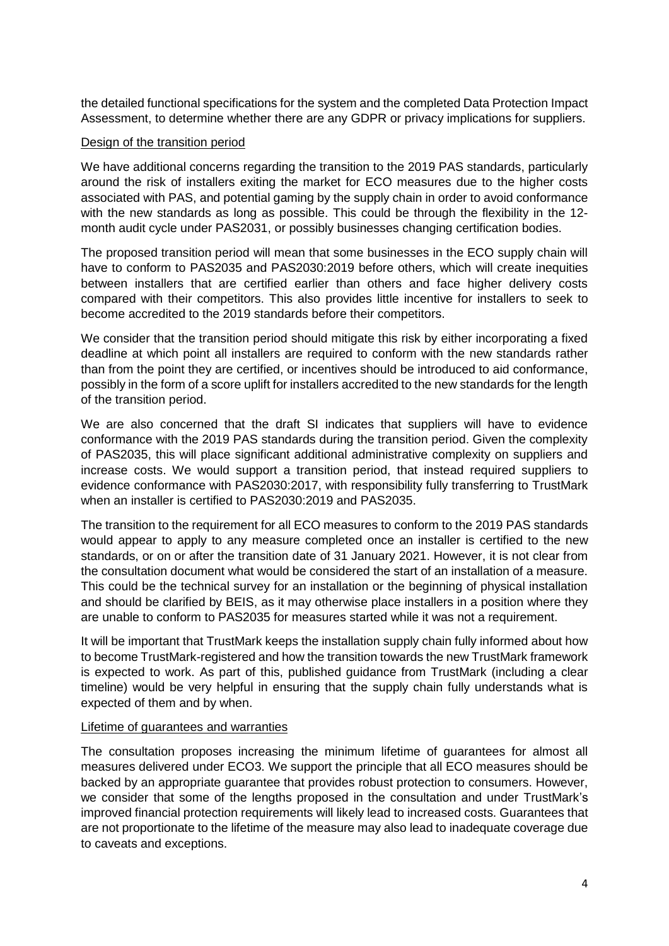the detailed functional specifications for the system and the completed Data Protection Impact Assessment, to determine whether there are any GDPR or privacy implications for suppliers.

# Design of the transition period

We have additional concerns regarding the transition to the 2019 PAS standards, particularly around the risk of installers exiting the market for ECO measures due to the higher costs associated with PAS, and potential gaming by the supply chain in order to avoid conformance with the new standards as long as possible. This could be through the flexibility in the 12 month audit cycle under PAS2031, or possibly businesses changing certification bodies.

The proposed transition period will mean that some businesses in the ECO supply chain will have to conform to PAS2035 and PAS2030:2019 before others, which will create inequities between installers that are certified earlier than others and face higher delivery costs compared with their competitors. This also provides little incentive for installers to seek to become accredited to the 2019 standards before their competitors.

We consider that the transition period should mitigate this risk by either incorporating a fixed deadline at which point all installers are required to conform with the new standards rather than from the point they are certified, or incentives should be introduced to aid conformance, possibly in the form of a score uplift for installers accredited to the new standards for the length of the transition period.

We are also concerned that the draft SI indicates that suppliers will have to evidence conformance with the 2019 PAS standards during the transition period. Given the complexity of PAS2035, this will place significant additional administrative complexity on suppliers and increase costs. We would support a transition period, that instead required suppliers to evidence conformance with PAS2030:2017, with responsibility fully transferring to TrustMark when an installer is certified to PAS2030:2019 and PAS2035.

The transition to the requirement for all ECO measures to conform to the 2019 PAS standards would appear to apply to any measure completed once an installer is certified to the new standards, or on or after the transition date of 31 January 2021. However, it is not clear from the consultation document what would be considered the start of an installation of a measure. This could be the technical survey for an installation or the beginning of physical installation and should be clarified by BEIS, as it may otherwise place installers in a position where they are unable to conform to PAS2035 for measures started while it was not a requirement.

It will be important that TrustMark keeps the installation supply chain fully informed about how to become TrustMark-registered and how the transition towards the new TrustMark framework is expected to work. As part of this, published guidance from TrustMark (including a clear timeline) would be very helpful in ensuring that the supply chain fully understands what is expected of them and by when.

# Lifetime of guarantees and warranties

The consultation proposes increasing the minimum lifetime of guarantees for almost all measures delivered under ECO3. We support the principle that all ECO measures should be backed by an appropriate guarantee that provides robust protection to consumers. However, we consider that some of the lengths proposed in the consultation and under TrustMark's improved financial protection requirements will likely lead to increased costs. Guarantees that are not proportionate to the lifetime of the measure may also lead to inadequate coverage due to caveats and exceptions.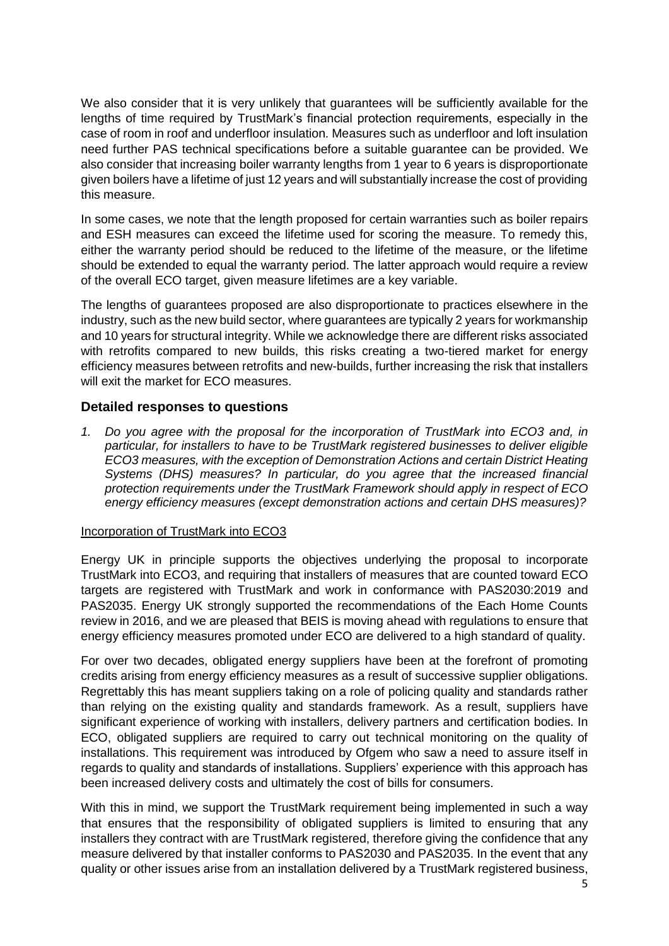We also consider that it is very unlikely that guarantees will be sufficiently available for the lengths of time required by TrustMark's financial protection requirements, especially in the case of room in roof and underfloor insulation. Measures such as underfloor and loft insulation need further PAS technical specifications before a suitable guarantee can be provided. We also consider that increasing boiler warranty lengths from 1 year to 6 years is disproportionate given boilers have a lifetime of just 12 years and will substantially increase the cost of providing this measure.

In some cases, we note that the length proposed for certain warranties such as boiler repairs and ESH measures can exceed the lifetime used for scoring the measure. To remedy this, either the warranty period should be reduced to the lifetime of the measure, or the lifetime should be extended to equal the warranty period. The latter approach would require a review of the overall ECO target, given measure lifetimes are a key variable.

The lengths of guarantees proposed are also disproportionate to practices elsewhere in the industry, such as the new build sector, where guarantees are typically 2 years for workmanship and 10 years for structural integrity. While we acknowledge there are different risks associated with retrofits compared to new builds, this risks creating a two-tiered market for energy efficiency measures between retrofits and new-builds, further increasing the risk that installers will exit the market for ECO measures.

# **Detailed responses to questions**

*1. Do you agree with the proposal for the incorporation of TrustMark into ECO3 and, in particular, for installers to have to be TrustMark registered businesses to deliver eligible ECO3 measures, with the exception of Demonstration Actions and certain District Heating Systems (DHS) measures? In particular, do you agree that the increased financial protection requirements under the TrustMark Framework should apply in respect of ECO energy efficiency measures (except demonstration actions and certain DHS measures)?*

# Incorporation of TrustMark into ECO3

Energy UK in principle supports the objectives underlying the proposal to incorporate TrustMark into ECO3, and requiring that installers of measures that are counted toward ECO targets are registered with TrustMark and work in conformance with PAS2030:2019 and PAS2035. Energy UK strongly supported the recommendations of the Each Home Counts review in 2016, and we are pleased that BEIS is moving ahead with regulations to ensure that energy efficiency measures promoted under ECO are delivered to a high standard of quality.

For over two decades, obligated energy suppliers have been at the forefront of promoting credits arising from energy efficiency measures as a result of successive supplier obligations. Regrettably this has meant suppliers taking on a role of policing quality and standards rather than relying on the existing quality and standards framework. As a result, suppliers have significant experience of working with installers, delivery partners and certification bodies. In ECO, obligated suppliers are required to carry out technical monitoring on the quality of installations. This requirement was introduced by Ofgem who saw a need to assure itself in regards to quality and standards of installations. Suppliers' experience with this approach has been increased delivery costs and ultimately the cost of bills for consumers.

With this in mind, we support the TrustMark requirement being implemented in such a way that ensures that the responsibility of obligated suppliers is limited to ensuring that any installers they contract with are TrustMark registered, therefore giving the confidence that any measure delivered by that installer conforms to PAS2030 and PAS2035. In the event that any quality or other issues arise from an installation delivered by a TrustMark registered business,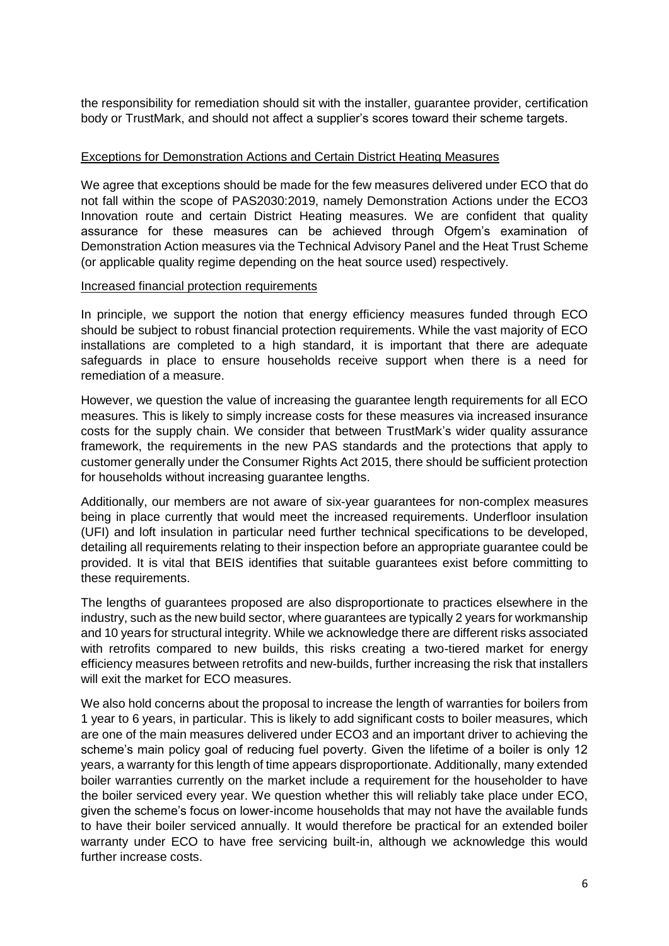the responsibility for remediation should sit with the installer, guarantee provider, certification body or TrustMark, and should not affect a supplier's scores toward their scheme targets.

# Exceptions for Demonstration Actions and Certain District Heating Measures

We agree that exceptions should be made for the few measures delivered under ECO that do not fall within the scope of PAS2030:2019, namely Demonstration Actions under the ECO3 Innovation route and certain District Heating measures. We are confident that quality assurance for these measures can be achieved through Ofgem's examination of Demonstration Action measures via the Technical Advisory Panel and the Heat Trust Scheme (or applicable quality regime depending on the heat source used) respectively.

#### Increased financial protection requirements

In principle, we support the notion that energy efficiency measures funded through ECO should be subject to robust financial protection requirements. While the vast majority of ECO installations are completed to a high standard, it is important that there are adequate safeguards in place to ensure households receive support when there is a need for remediation of a measure.

However, we question the value of increasing the guarantee length requirements for all ECO measures. This is likely to simply increase costs for these measures via increased insurance costs for the supply chain. We consider that between TrustMark's wider quality assurance framework, the requirements in the new PAS standards and the protections that apply to customer generally under the Consumer Rights Act 2015, there should be sufficient protection for households without increasing guarantee lengths.

Additionally, our members are not aware of six-year guarantees for non-complex measures being in place currently that would meet the increased requirements. Underfloor insulation (UFI) and loft insulation in particular need further technical specifications to be developed, detailing all requirements relating to their inspection before an appropriate guarantee could be provided. It is vital that BEIS identifies that suitable guarantees exist before committing to these requirements.

The lengths of guarantees proposed are also disproportionate to practices elsewhere in the industry, such as the new build sector, where guarantees are typically 2 years for workmanship and 10 years for structural integrity. While we acknowledge there are different risks associated with retrofits compared to new builds, this risks creating a two-tiered market for energy efficiency measures between retrofits and new-builds, further increasing the risk that installers will exit the market for ECO measures.

We also hold concerns about the proposal to increase the length of warranties for boilers from 1 year to 6 years, in particular. This is likely to add significant costs to boiler measures, which are one of the main measures delivered under ECO3 and an important driver to achieving the scheme's main policy goal of reducing fuel poverty. Given the lifetime of a boiler is only 12 years, a warranty for this length of time appears disproportionate. Additionally, many extended boiler warranties currently on the market include a requirement for the householder to have the boiler serviced every year. We question whether this will reliably take place under ECO, given the scheme's focus on lower-income households that may not have the available funds to have their boiler serviced annually. It would therefore be practical for an extended boiler warranty under ECO to have free servicing built-in, although we acknowledge this would further increase costs.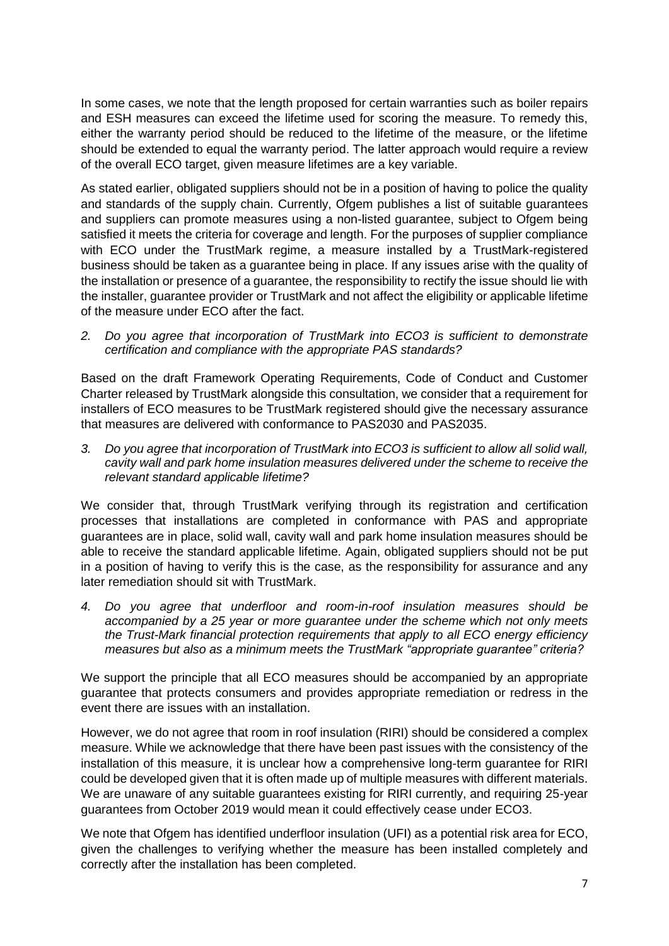In some cases, we note that the length proposed for certain warranties such as boiler repairs and ESH measures can exceed the lifetime used for scoring the measure. To remedy this, either the warranty period should be reduced to the lifetime of the measure, or the lifetime should be extended to equal the warranty period. The latter approach would require a review of the overall ECO target, given measure lifetimes are a key variable.

As stated earlier, obligated suppliers should not be in a position of having to police the quality and standards of the supply chain. Currently, Ofgem publishes a list of suitable guarantees and suppliers can promote measures using a non-listed guarantee, subject to Ofgem being satisfied it meets the criteria for coverage and length. For the purposes of supplier compliance with ECO under the TrustMark regime, a measure installed by a TrustMark-registered business should be taken as a guarantee being in place. If any issues arise with the quality of the installation or presence of a guarantee, the responsibility to rectify the issue should lie with the installer, guarantee provider or TrustMark and not affect the eligibility or applicable lifetime of the measure under ECO after the fact.

*2. Do you agree that incorporation of TrustMark into ECO3 is sufficient to demonstrate certification and compliance with the appropriate PAS standards?*

Based on the draft Framework Operating Requirements, Code of Conduct and Customer Charter released by TrustMark alongside this consultation, we consider that a requirement for installers of ECO measures to be TrustMark registered should give the necessary assurance that measures are delivered with conformance to PAS2030 and PAS2035.

*3. Do you agree that incorporation of TrustMark into ECO3 is sufficient to allow all solid wall, cavity wall and park home insulation measures delivered under the scheme to receive the relevant standard applicable lifetime?*

We consider that, through TrustMark verifying through its registration and certification processes that installations are completed in conformance with PAS and appropriate guarantees are in place, solid wall, cavity wall and park home insulation measures should be able to receive the standard applicable lifetime. Again, obligated suppliers should not be put in a position of having to verify this is the case, as the responsibility for assurance and any later remediation should sit with TrustMark.

*4. Do you agree that underfloor and room-in-roof insulation measures should be accompanied by a 25 year or more guarantee under the scheme which not only meets the Trust-Mark financial protection requirements that apply to all ECO energy efficiency measures but also as a minimum meets the TrustMark "appropriate guarantee" criteria?*

We support the principle that all ECO measures should be accompanied by an appropriate guarantee that protects consumers and provides appropriate remediation or redress in the event there are issues with an installation.

However, we do not agree that room in roof insulation (RIRI) should be considered a complex measure. While we acknowledge that there have been past issues with the consistency of the installation of this measure, it is unclear how a comprehensive long-term guarantee for RIRI could be developed given that it is often made up of multiple measures with different materials. We are unaware of any suitable guarantees existing for RIRI currently, and requiring 25-year guarantees from October 2019 would mean it could effectively cease under ECO3.

We note that Ofgem has identified underfloor insulation (UFI) as a potential risk area for ECO, given the challenges to verifying whether the measure has been installed completely and correctly after the installation has been completed.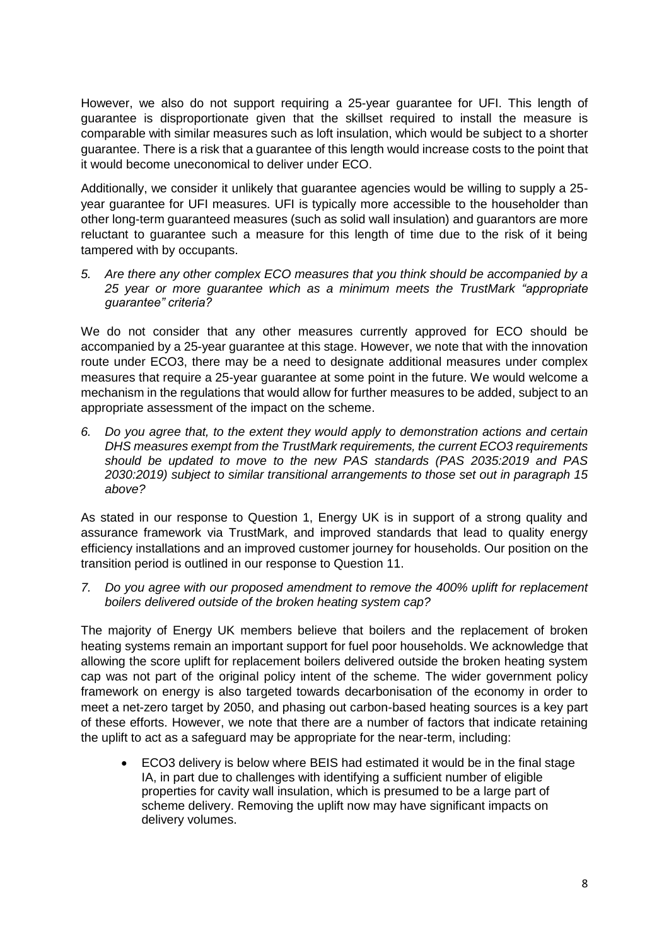However, we also do not support requiring a 25-year guarantee for UFI. This length of guarantee is disproportionate given that the skillset required to install the measure is comparable with similar measures such as loft insulation, which would be subject to a shorter guarantee. There is a risk that a guarantee of this length would increase costs to the point that it would become uneconomical to deliver under ECO.

Additionally, we consider it unlikely that guarantee agencies would be willing to supply a 25 year guarantee for UFI measures. UFI is typically more accessible to the householder than other long-term guaranteed measures (such as solid wall insulation) and guarantors are more reluctant to guarantee such a measure for this length of time due to the risk of it being tampered with by occupants.

*5. Are there any other complex ECO measures that you think should be accompanied by a 25 year or more guarantee which as a minimum meets the TrustMark "appropriate guarantee" criteria?*

We do not consider that any other measures currently approved for ECO should be accompanied by a 25-year guarantee at this stage. However, we note that with the innovation route under ECO3, there may be a need to designate additional measures under complex measures that require a 25-year guarantee at some point in the future. We would welcome a mechanism in the regulations that would allow for further measures to be added, subject to an appropriate assessment of the impact on the scheme.

*6. Do you agree that, to the extent they would apply to demonstration actions and certain DHS measures exempt from the TrustMark requirements, the current ECO3 requirements should be updated to move to the new PAS standards (PAS 2035:2019 and PAS 2030:2019) subject to similar transitional arrangements to those set out in paragraph 15 above?*

As stated in our response to Question 1, Energy UK is in support of a strong quality and assurance framework via TrustMark, and improved standards that lead to quality energy efficiency installations and an improved customer journey for households. Our position on the transition period is outlined in our response to Question 11.

*7. Do you agree with our proposed amendment to remove the 400% uplift for replacement boilers delivered outside of the broken heating system cap?*

The majority of Energy UK members believe that boilers and the replacement of broken heating systems remain an important support for fuel poor households. We acknowledge that allowing the score uplift for replacement boilers delivered outside the broken heating system cap was not part of the original policy intent of the scheme. The wider government policy framework on energy is also targeted towards decarbonisation of the economy in order to meet a net-zero target by 2050, and phasing out carbon-based heating sources is a key part of these efforts. However, we note that there are a number of factors that indicate retaining the uplift to act as a safeguard may be appropriate for the near-term, including:

• ECO3 delivery is below where BEIS had estimated it would be in the final stage IA, in part due to challenges with identifying a sufficient number of eligible properties for cavity wall insulation, which is presumed to be a large part of scheme delivery. Removing the uplift now may have significant impacts on delivery volumes.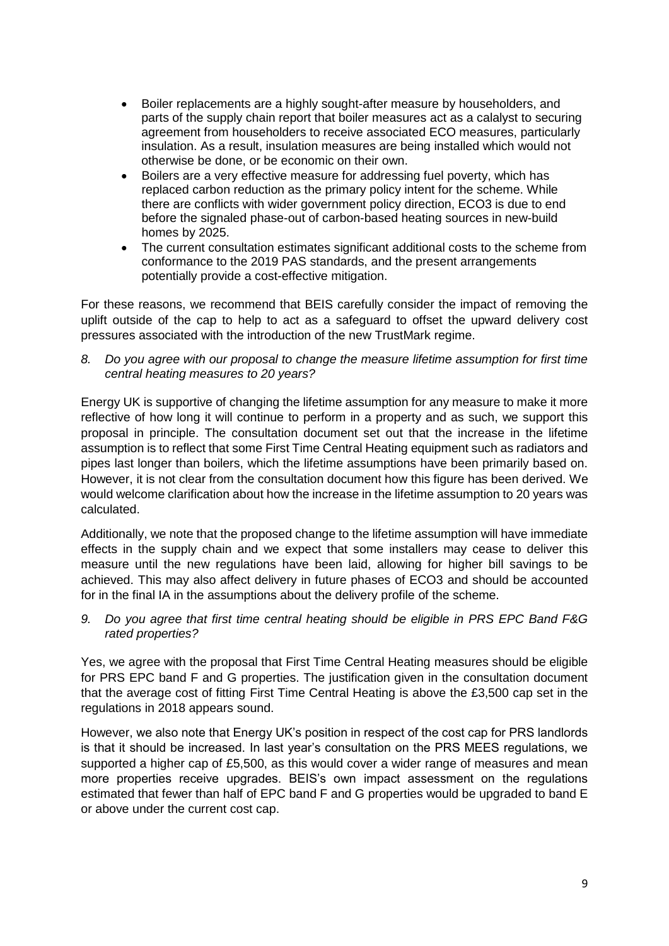- Boiler replacements are a highly sought-after measure by householders, and parts of the supply chain report that boiler measures act as a calalyst to securing agreement from householders to receive associated ECO measures, particularly insulation. As a result, insulation measures are being installed which would not otherwise be done, or be economic on their own.
- Boilers are a very effective measure for addressing fuel poverty, which has replaced carbon reduction as the primary policy intent for the scheme. While there are conflicts with wider government policy direction, ECO3 is due to end before the signaled phase-out of carbon-based heating sources in new-build homes by 2025.
- The current consultation estimates significant additional costs to the scheme from conformance to the 2019 PAS standards, and the present arrangements potentially provide a cost-effective mitigation.

For these reasons, we recommend that BEIS carefully consider the impact of removing the uplift outside of the cap to help to act as a safeguard to offset the upward delivery cost pressures associated with the introduction of the new TrustMark regime.

*8. Do you agree with our proposal to change the measure lifetime assumption for first time central heating measures to 20 years?*

Energy UK is supportive of changing the lifetime assumption for any measure to make it more reflective of how long it will continue to perform in a property and as such, we support this proposal in principle. The consultation document set out that the increase in the lifetime assumption is to reflect that some First Time Central Heating equipment such as radiators and pipes last longer than boilers, which the lifetime assumptions have been primarily based on. However, it is not clear from the consultation document how this figure has been derived. We would welcome clarification about how the increase in the lifetime assumption to 20 years was calculated.

Additionally, we note that the proposed change to the lifetime assumption will have immediate effects in the supply chain and we expect that some installers may cease to deliver this measure until the new regulations have been laid, allowing for higher bill savings to be achieved. This may also affect delivery in future phases of ECO3 and should be accounted for in the final IA in the assumptions about the delivery profile of the scheme.

*9. Do you agree that first time central heating should be eligible in PRS EPC Band F&G rated properties?*

Yes, we agree with the proposal that First Time Central Heating measures should be eligible for PRS EPC band F and G properties. The justification given in the consultation document that the average cost of fitting First Time Central Heating is above the £3,500 cap set in the regulations in 2018 appears sound.

However, we also note that Energy UK's position in respect of the cost cap for PRS landlords is that it should be increased. In last year's consultation on the PRS MEES regulations, we supported a higher cap of £5,500, as this would cover a wider range of measures and mean more properties receive upgrades. BEIS's own impact assessment on the regulations estimated that fewer than half of EPC band F and G properties would be upgraded to band E or above under the current cost cap.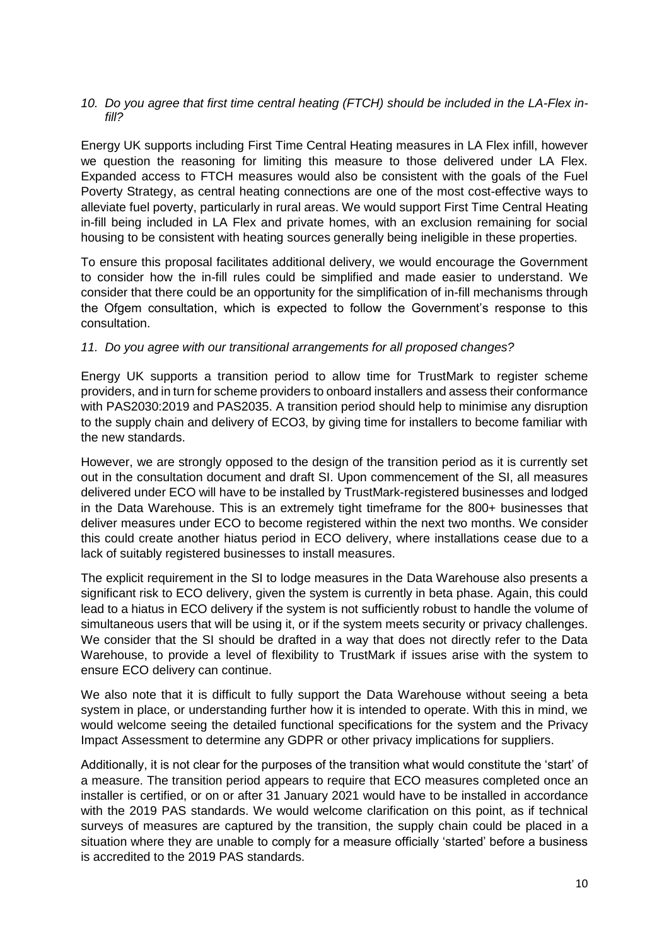#### *10. Do you agree that first time central heating (FTCH) should be included in the LA-Flex infill?*

Energy UK supports including First Time Central Heating measures in LA Flex infill, however we question the reasoning for limiting this measure to those delivered under LA Flex. Expanded access to FTCH measures would also be consistent with the goals of the Fuel Poverty Strategy, as central heating connections are one of the most cost-effective ways to alleviate fuel poverty, particularly in rural areas. We would support First Time Central Heating in-fill being included in LA Flex and private homes, with an exclusion remaining for social housing to be consistent with heating sources generally being ineligible in these properties.

To ensure this proposal facilitates additional delivery, we would encourage the Government to consider how the in-fill rules could be simplified and made easier to understand. We consider that there could be an opportunity for the simplification of in-fill mechanisms through the Ofgem consultation, which is expected to follow the Government's response to this consultation.

# *11. Do you agree with our transitional arrangements for all proposed changes?*

Energy UK supports a transition period to allow time for TrustMark to register scheme providers, and in turn for scheme providers to onboard installers and assess their conformance with PAS2030:2019 and PAS2035. A transition period should help to minimise any disruption to the supply chain and delivery of ECO3, by giving time for installers to become familiar with the new standards.

However, we are strongly opposed to the design of the transition period as it is currently set out in the consultation document and draft SI. Upon commencement of the SI, all measures delivered under ECO will have to be installed by TrustMark-registered businesses and lodged in the Data Warehouse. This is an extremely tight timeframe for the 800+ businesses that deliver measures under ECO to become registered within the next two months. We consider this could create another hiatus period in ECO delivery, where installations cease due to a lack of suitably registered businesses to install measures.

The explicit requirement in the SI to lodge measures in the Data Warehouse also presents a significant risk to ECO delivery, given the system is currently in beta phase. Again, this could lead to a hiatus in ECO delivery if the system is not sufficiently robust to handle the volume of simultaneous users that will be using it, or if the system meets security or privacy challenges. We consider that the SI should be drafted in a way that does not directly refer to the Data Warehouse, to provide a level of flexibility to TrustMark if issues arise with the system to ensure ECO delivery can continue.

We also note that it is difficult to fully support the Data Warehouse without seeing a beta system in place, or understanding further how it is intended to operate. With this in mind, we would welcome seeing the detailed functional specifications for the system and the Privacy Impact Assessment to determine any GDPR or other privacy implications for suppliers.

Additionally, it is not clear for the purposes of the transition what would constitute the 'start' of a measure. The transition period appears to require that ECO measures completed once an installer is certified, or on or after 31 January 2021 would have to be installed in accordance with the 2019 PAS standards. We would welcome clarification on this point, as if technical surveys of measures are captured by the transition, the supply chain could be placed in a situation where they are unable to comply for a measure officially 'started' before a business is accredited to the 2019 PAS standards.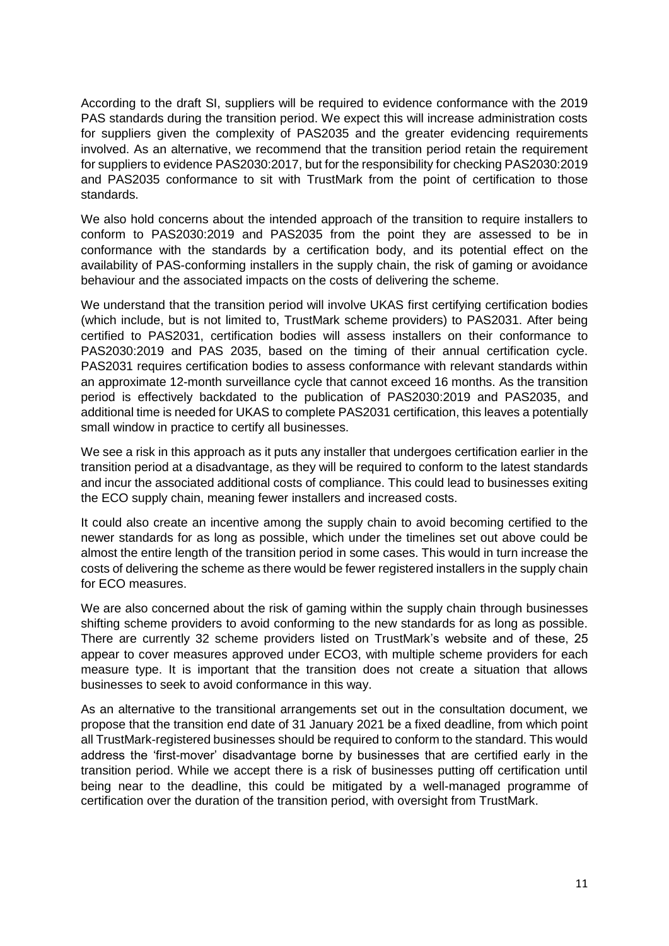According to the draft SI, suppliers will be required to evidence conformance with the 2019 PAS standards during the transition period. We expect this will increase administration costs for suppliers given the complexity of PAS2035 and the greater evidencing requirements involved. As an alternative, we recommend that the transition period retain the requirement for suppliers to evidence PAS2030:2017, but for the responsibility for checking PAS2030:2019 and PAS2035 conformance to sit with TrustMark from the point of certification to those standards.

We also hold concerns about the intended approach of the transition to require installers to conform to PAS2030:2019 and PAS2035 from the point they are assessed to be in conformance with the standards by a certification body, and its potential effect on the availability of PAS-conforming installers in the supply chain, the risk of gaming or avoidance behaviour and the associated impacts on the costs of delivering the scheme.

We understand that the transition period will involve UKAS first certifying certification bodies (which include, but is not limited to, TrustMark scheme providers) to PAS2031. After being certified to PAS2031, certification bodies will assess installers on their conformance to PAS2030:2019 and PAS 2035, based on the timing of their annual certification cycle. PAS2031 requires certification bodies to assess conformance with relevant standards within an approximate 12-month surveillance cycle that cannot exceed 16 months. As the transition period is effectively backdated to the publication of PAS2030:2019 and PAS2035, and additional time is needed for UKAS to complete PAS2031 certification, this leaves a potentially small window in practice to certify all businesses.

We see a risk in this approach as it puts any installer that undergoes certification earlier in the transition period at a disadvantage, as they will be required to conform to the latest standards and incur the associated additional costs of compliance. This could lead to businesses exiting the ECO supply chain, meaning fewer installers and increased costs.

It could also create an incentive among the supply chain to avoid becoming certified to the newer standards for as long as possible, which under the timelines set out above could be almost the entire length of the transition period in some cases. This would in turn increase the costs of delivering the scheme as there would be fewer registered installers in the supply chain for ECO measures.

We are also concerned about the risk of gaming within the supply chain through businesses shifting scheme providers to avoid conforming to the new standards for as long as possible. There are currently 32 scheme providers listed on TrustMark's website and of these, 25 appear to cover measures approved under ECO3, with multiple scheme providers for each measure type. It is important that the transition does not create a situation that allows businesses to seek to avoid conformance in this way.

As an alternative to the transitional arrangements set out in the consultation document, we propose that the transition end date of 31 January 2021 be a fixed deadline, from which point all TrustMark-registered businesses should be required to conform to the standard. This would address the 'first-mover' disadvantage borne by businesses that are certified early in the transition period. While we accept there is a risk of businesses putting off certification until being near to the deadline, this could be mitigated by a well-managed programme of certification over the duration of the transition period, with oversight from TrustMark.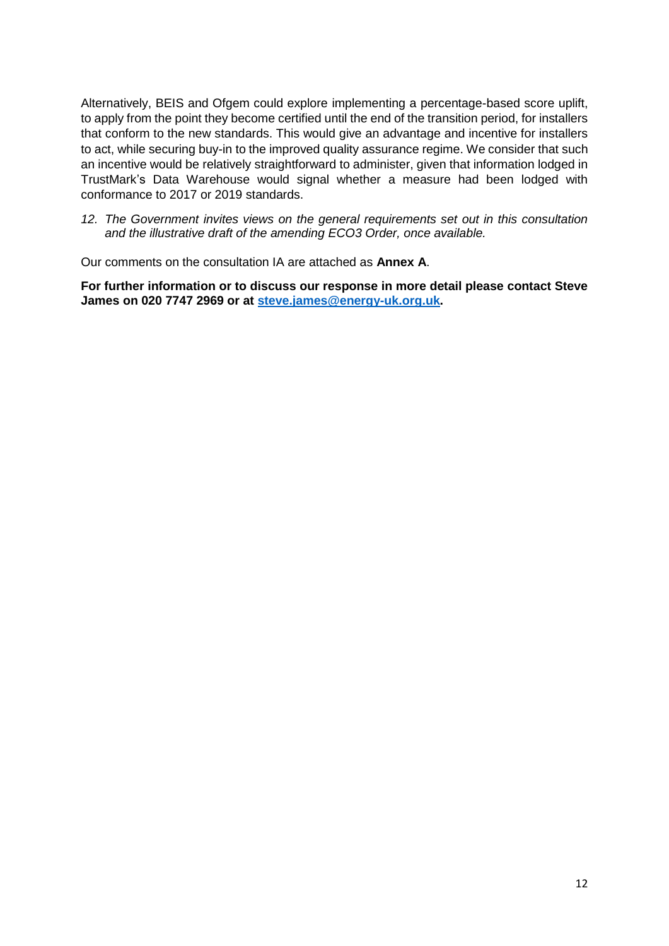Alternatively, BEIS and Ofgem could explore implementing a percentage-based score uplift, to apply from the point they become certified until the end of the transition period, for installers that conform to the new standards. This would give an advantage and incentive for installers to act, while securing buy-in to the improved quality assurance regime. We consider that such an incentive would be relatively straightforward to administer, given that information lodged in TrustMark's Data Warehouse would signal whether a measure had been lodged with conformance to 2017 or 2019 standards.

*12. The Government invites views on the general requirements set out in this consultation and the illustrative draft of the amending ECO3 Order, once available.*

Our comments on the consultation IA are attached as **Annex A**.

**For further information or to discuss our response in more detail please contact Steve James on 020 7747 2969 or at [steve.james@energy-uk.org.uk.](mailto:steve.james@energy-uk.org.uk)**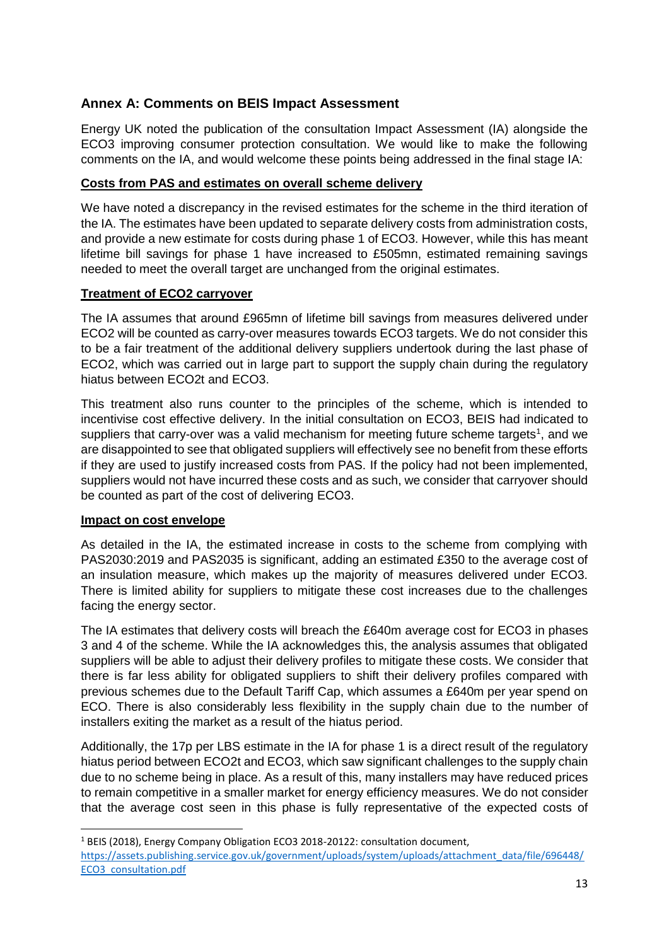# **Annex A: Comments on BEIS Impact Assessment**

Energy UK noted the publication of the consultation Impact Assessment (IA) alongside the ECO3 improving consumer protection consultation. We would like to make the following comments on the IA, and would welcome these points being addressed in the final stage IA:

# **Costs from PAS and estimates on overall scheme delivery**

We have noted a discrepancy in the revised estimates for the scheme in the third iteration of the IA. The estimates have been updated to separate delivery costs from administration costs, and provide a new estimate for costs during phase 1 of ECO3. However, while this has meant lifetime bill savings for phase 1 have increased to £505mn, estimated remaining savings needed to meet the overall target are unchanged from the original estimates.

# **Treatment of ECO2 carryover**

The IA assumes that around £965mn of lifetime bill savings from measures delivered under ECO2 will be counted as carry-over measures towards ECO3 targets. We do not consider this to be a fair treatment of the additional delivery suppliers undertook during the last phase of ECO2, which was carried out in large part to support the supply chain during the regulatory hiatus between ECO2t and ECO3.

This treatment also runs counter to the principles of the scheme, which is intended to incentivise cost effective delivery. In the initial consultation on ECO3, BEIS had indicated to suppliers that carry-over was a valid mechanism for meeting future scheme targets<sup>1</sup>, and we are disappointed to see that obligated suppliers will effectively see no benefit from these efforts if they are used to justify increased costs from PAS. If the policy had not been implemented, suppliers would not have incurred these costs and as such, we consider that carryover should be counted as part of the cost of delivering ECO3.

# **Impact on cost envelope**

**.** 

As detailed in the IA, the estimated increase in costs to the scheme from complying with PAS2030:2019 and PAS2035 is significant, adding an estimated £350 to the average cost of an insulation measure, which makes up the majority of measures delivered under ECO3. There is limited ability for suppliers to mitigate these cost increases due to the challenges facing the energy sector.

The IA estimates that delivery costs will breach the £640m average cost for ECO3 in phases 3 and 4 of the scheme. While the IA acknowledges this, the analysis assumes that obligated suppliers will be able to adjust their delivery profiles to mitigate these costs. We consider that there is far less ability for obligated suppliers to shift their delivery profiles compared with previous schemes due to the Default Tariff Cap, which assumes a £640m per year spend on ECO. There is also considerably less flexibility in the supply chain due to the number of installers exiting the market as a result of the hiatus period.

Additionally, the 17p per LBS estimate in the IA for phase 1 is a direct result of the regulatory hiatus period between ECO2t and ECO3, which saw significant challenges to the supply chain due to no scheme being in place. As a result of this, many installers may have reduced prices to remain competitive in a smaller market for energy efficiency measures. We do not consider that the average cost seen in this phase is fully representative of the expected costs of

<sup>&</sup>lt;sup>1</sup> BEIS (2018), Energy Company Obligation ECO3 2018-20122: consultation document, [https://assets.publishing.service.gov.uk/government/uploads/system/uploads/attachment\\_data/file/696448/](https://assets.publishing.service.gov.uk/government/uploads/system/uploads/attachment_data/file/696448/ECO3_consultation.pdf) [ECO3\\_consultation.pdf](https://assets.publishing.service.gov.uk/government/uploads/system/uploads/attachment_data/file/696448/ECO3_consultation.pdf)